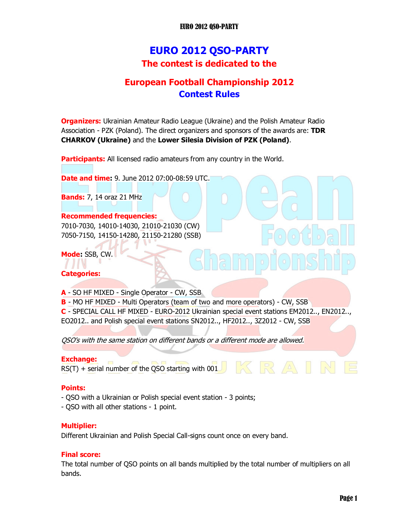### EURO 2012 QSO-PARTY

# EURO 2012 QSO-PARTY The contest is dedicated to the

## European Football Championship 2012 Contest Rules

**Organizers:** Ukrainian Amateur Radio League (Ukraine) and the Polish Amateur Radio Association - PZK (Poland). The direct organizers and sponsors of the awards are: TDR CHARKOV (Ukraine) and the Lower Silesia Division of PZK (Poland).

**Participants:** All licensed radio amateurs from any country in the World.

**Date and time: 9. June 2012 07:00-08:59 UTC.** 

Bands: 7, 14 oraz 21 MHz

#### Recommended frequencies:

7010-7030, 14010-14030, 21010-21030 (CW) 7050-7150, 14150-14280, 21150-21280 (SSB)

Mode: SSB, CW.

### Categories:

A - SO HF MIXED - Single Operator - CW, SSB

B - MO HF MIXED - Multi Operators (team of two and more operators) - CW, SSB

C - SPECIAL CALL HF MIXED - EURO-2012 Ukrainian special event stations EM2012.., EN2012.., EO2012.. and Polish special event stations SN2012.., HF2012.., 3Z2012 - CW, SSB

QSO's with the same station on different bands or a different mode are allowed.

#### Exchange:

RS(T) + serial number of the QSO starting with  $001$ 

### Points:

- QSO with a Ukrainian or Polish special event station 3 points;
- QSO with all other stations 1 point.

### Multiplier:

Different Ukrainian and Polish Special Call-signs count once on every band.

#### Final score:

The total number of QSO points on all bands multiplied by the total number of multipliers on all bands.